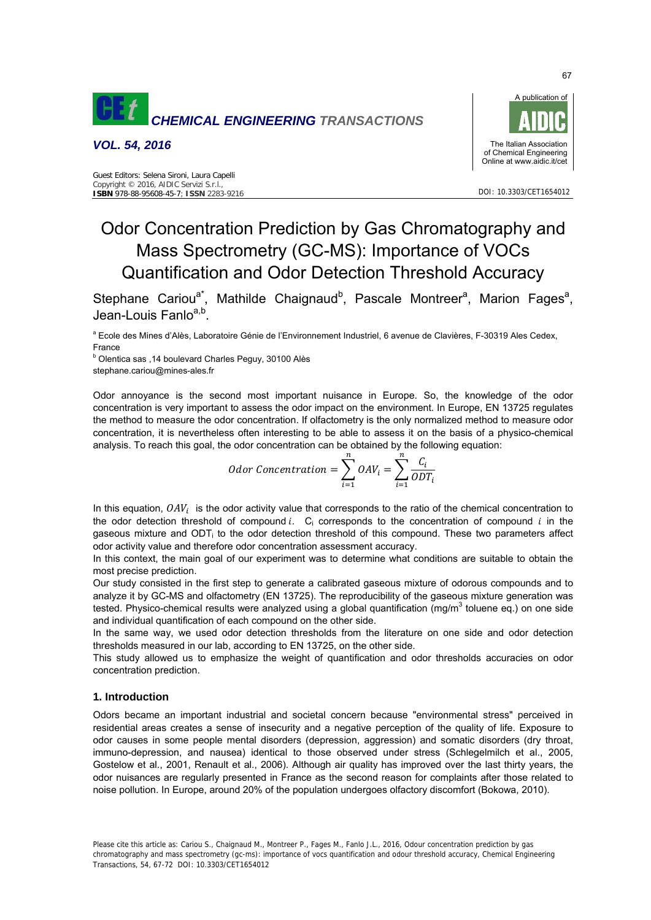

*VOL. 54, 2016* 



# Odor Concentration Prediction by Gas Chromatography and Mass Spectrometry (GC-MS): Importance of VOCs Quantification and Odor Detection Threshold Accuracy

Stephane Cariou<sup>a\*</sup>, Mathilde Chaignaud<sup>b</sup>, Pascale Montreer<sup>a</sup>, Marion Fages<sup>a</sup>, Jean-Louis Fanlo<sup>a,b</sup>

a Ecole des Mines d'Alès, Laboratoire Génie de l'Environnement Industriel, 6 avenue de Clavières, F-30319 Ales Cedex, France

b Olentica sas ,14 boulevard Charles Peguy, 30100 Alès stephane.cariou@mines-ales.fr

Odor annoyance is the second most important nuisance in Europe. So, the knowledge of the odor concentration is very important to assess the odor impact on the environment. In Europe, EN 13725 regulates the method to measure the odor concentration. If olfactometry is the only normalized method to measure odor concentration, it is nevertheless often interesting to be able to assess it on the basis of a physico-chemical analysis. To reach this goal, the odor concentration can be obtained by the following equation:

*odor Concentration* = 
$$
\sum_{i=1}^{n} OAV_i = \sum_{i=1}^{n} \frac{C_i}{ODT_i}
$$

In this equation,  $OAV_i$  is the odor activity value that corresponds to the ratio of the chemical concentration to the odor detection threshold of compound  $i$ . C<sub>i</sub> corresponds to the concentration of compound  $i$  in the gaseous mixture and ODTi to the odor detection threshold of this compound. These two parameters affect odor activity value and therefore odor concentration assessment accuracy.

In this context, the main goal of our experiment was to determine what conditions are suitable to obtain the most precise prediction.

Our study consisted in the first step to generate a calibrated gaseous mixture of odorous compounds and to analyze it by GC-MS and olfactometry (EN 13725). The reproducibility of the gaseous mixture generation was tested. Physico-chemical results were analyzed using a global quantification (mg/m<sup>3</sup> toluene eq.) on one side and individual quantification of each compound on the other side.

In the same way, we used odor detection thresholds from the literature on one side and odor detection thresholds measured in our lab, according to EN 13725, on the other side.

This study allowed us to emphasize the weight of quantification and odor thresholds accuracies on odor concentration prediction.

# **1. Introduction**

Odors became an important industrial and societal concern because "environmental stress" perceived in residential areas creates a sense of insecurity and a negative perception of the quality of life. Exposure to odor causes in some people mental disorders (depression, aggression) and somatic disorders (dry throat, immuno-depression, and nausea) identical to those observed under stress (Schlegelmilch et al., 2005, Gostelow et al., 2001, Renault et al., 2006). Although air quality has improved over the last thirty years, the odor nuisances are regularly presented in France as the second reason for complaints after those related to noise pollution. In Europe, around 20% of the population undergoes olfactory discomfort (Bokowa, 2010).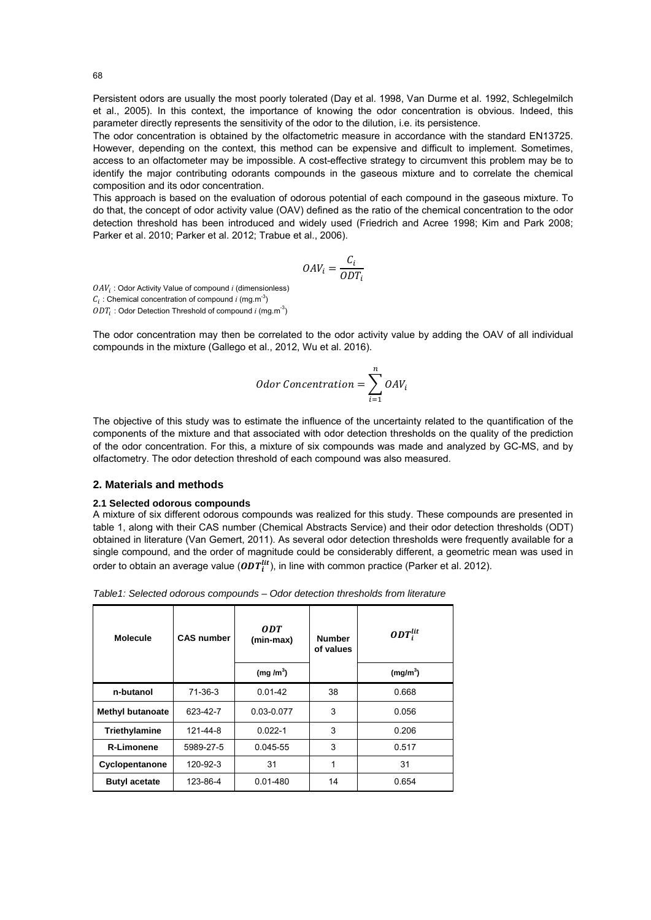Persistent odors are usually the most poorly tolerated (Day et al. 1998, Van Durme et al. 1992, Schlegelmilch et al., 2005). In this context, the importance of knowing the odor concentration is obvious. Indeed, this parameter directly represents the sensitivity of the odor to the dilution, i.e. its persistence.

The odor concentration is obtained by the olfactometric measure in accordance with the standard EN13725. However, depending on the context, this method can be expensive and difficult to implement. Sometimes, access to an olfactometer may be impossible. A cost-effective strategy to circumvent this problem may be to identify the major contributing odorants compounds in the gaseous mixture and to correlate the chemical composition and its odor concentration.

This approach is based on the evaluation of odorous potential of each compound in the gaseous mixture. To do that, the concept of odor activity value (OAV) defined as the ratio of the chemical concentration to the odor detection threshold has been introduced and widely used (Friedrich and Acree 1998; Kim and Park 2008; Parker et al. 2010; Parker et al. 2012; Trabue et al., 2006).

$$
OAV_i = \frac{C_i}{ODT_i}
$$

 $OAV_i$ : Odor Activity Value of compound  $i$  (dimensionless)  $C_i$ : Chemical concentration of compound *i* (mg.m<sup>-3</sup>)  $ODT_i$ : Odor Detection Threshold of compound *i* (mg.m<sup>-3</sup>)

The odor concentration may then be correlated to the odor activity value by adding the OAV of all individual compounds in the mixture (Gallego et al., 2012, Wu et al. 2016).

*odor Concentration* = 
$$
\sum_{i=1}^{n} OAV_i
$$

The objective of this study was to estimate the influence of the uncertainty related to the quantification of the components of the mixture and that associated with odor detection thresholds on the quality of the prediction of the odor concentration. For this, a mixture of six compounds was made and analyzed by GC-MS, and by olfactometry. The odor detection threshold of each compound was also measured.

# **2. Materials and methods**

#### **2.1 Selected odorous compounds**

A mixture of six different odorous compounds was realized for this study. These compounds are presented in table 1, along with their CAS number (Chemical Abstracts Service) and their odor detection thresholds (ODT) obtained in literature (Van Gemert, 2011). As several odor detection thresholds were frequently available for a single compound, and the order of magnitude could be considerably different, a geometric mean was used in order to obtain an average value ( $\mathit{ODT}_i^{lit}$ ), in line with common practice (Parker et al. 2012).

*Table1: Selected odorous compounds – Odor detection thresholds from literature* 

| <b>Molecule</b>         | <b>CAS number</b> | ODT<br>(min-max)     | <b>Number</b><br>of values | $ODT_i^{lit}$        |
|-------------------------|-------------------|----------------------|----------------------------|----------------------|
|                         |                   | (mg/m <sup>3</sup> ) |                            | (mg/m <sup>3</sup> ) |
| n-butanol               | 71-36-3           | $0.01 - 42$          | 38                         | 0.668                |
| <b>Methyl butanoate</b> | 623-42-7          | 0.03-0.077           | 3                          | 0.056                |
| Triethylamine           | 121-44-8          | $0.022 - 1$          | 3                          | 0.206                |
| <b>R-Limonene</b>       | 5989-27-5         | $0.045 - 55$         | 3                          | 0.517                |
| Cyclopentanone          | 120-92-3          | 31                   | 1                          | 31                   |
| <b>Butyl acetate</b>    | 123-86-4          | $0.01 - 480$         | 14                         | 0.654                |

68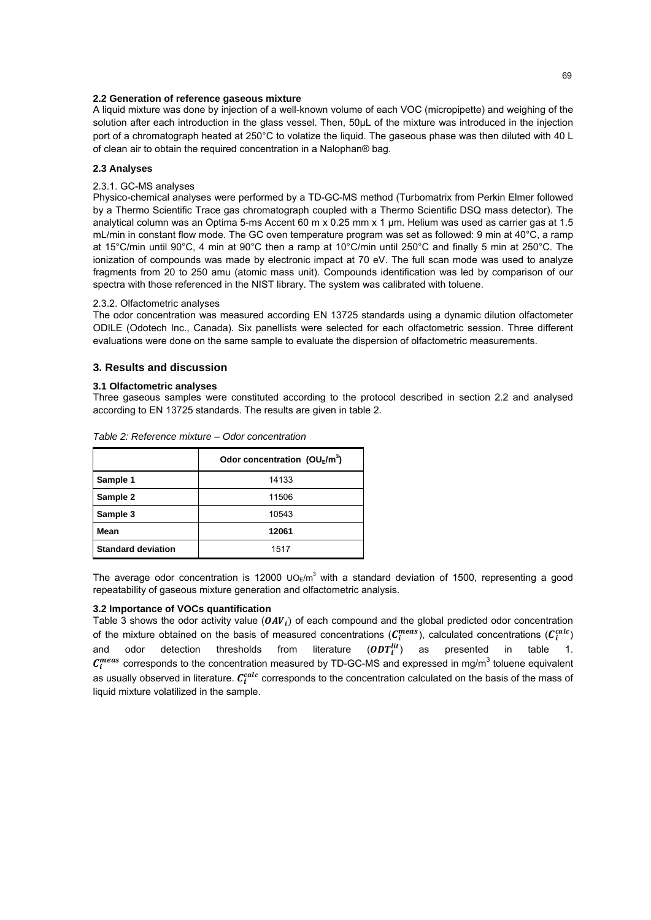#### **2.2 Generation of reference gaseous mixture**

A liquid mixture was done by injection of a well-known volume of each VOC (micropipette) and weighing of the solution after each introduction in the glass vessel. Then, 50µL of the mixture was introduced in the injection port of a chromatograph heated at 250°C to volatize the liquid. The gaseous phase was then diluted with 40 L of clean air to obtain the required concentration in a Nalophan® bag.

#### **2.3 Analyses**

## 2.3.1. GC-MS analyses

Physico-chemical analyses were performed by a TD-GC-MS method (Turbomatrix from Perkin Elmer followed by a Thermo Scientific Trace gas chromatograph coupled with a Thermo Scientific DSQ mass detector). The analytical column was an Optima 5-ms Accent 60 m x 0.25 mm x 1 µm. Helium was used as carrier gas at 1.5 mL/min in constant flow mode. The GC oven temperature program was set as followed: 9 min at 40°C, a ramp at 15°C/min until 90°C, 4 min at 90°C then a ramp at 10°C/min until 250°C and finally 5 min at 250°C. The ionization of compounds was made by electronic impact at 70 eV. The full scan mode was used to analyze fragments from 20 to 250 amu (atomic mass unit). Compounds identification was led by comparison of our spectra with those referenced in the NIST library. The system was calibrated with toluene.

#### 2.3.2. Olfactometric analyses

The odor concentration was measured according EN 13725 standards using a dynamic dilution olfactometer ODILE (Odotech Inc., Canada). Six panellists were selected for each olfactometric session. Three different evaluations were done on the same sample to evaluate the dispersion of olfactometric measurements.

# **3. Results and discussion**

#### **3.1 Olfactometric analyses**

Three gaseous samples were constituted according to the protocol described in section 2.2 and analysed according to EN 13725 standards. The results are given in table 2.

|                           | Odor concentration ( $OU_E/m^3$ ) |
|---------------------------|-----------------------------------|
| Sample 1                  | 14133                             |
| Sample 2                  | 11506                             |
| Sample 3                  | 10543                             |
| Mean                      | 12061                             |
| <b>Standard deviation</b> | 1517                              |

*Table 2: Reference mixture – Odor concentration*

The average odor concentration is 12000 UO $_{E}/m^{3}$  with a standard deviation of 1500, representing a good repeatability of gaseous mixture generation and olfactometric analysis.

# **3.2 Importance of VOCs quantification**

Table 3 shows the odor activity value  $(OAV_i)$  of each compound and the global predicted odor concentration of the mixture obtained on the basis of measured concentrations ( $C_i^{meas}$ ), calculated concentrations ( $C_i^{calc}$ ) and odor detection thresholds from literature  $(DDT_i^{lit})$ as presented in table  $C_i^{meas}$  corresponds to the concentration measured by TD-GC-MS and expressed in mg/m<sup>3</sup> toluene equivalent as usually observed in literature.  $\mathcal{C}^{calc}_{i}$  corresponds to the concentration calculated on the basis of the mass of liquid mixture volatilized in the sample.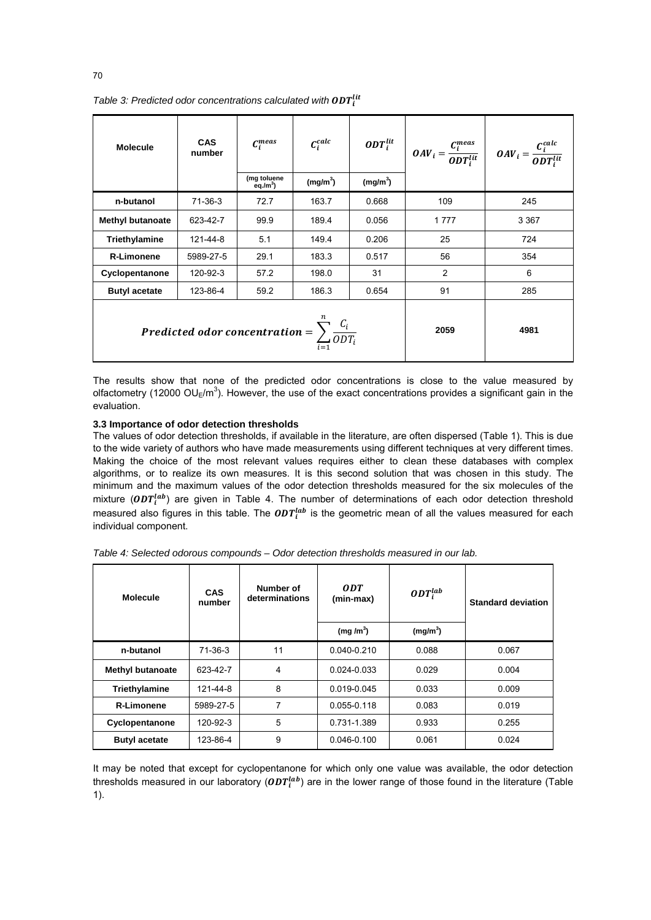| <b>Molecule</b>                                                                     | <b>CAS</b><br>number | $C_i^{meas}$<br>(mg toluene | $C_i^{calc}$<br>(mg/m <sup>3</sup> ) | ODT $_{i}^{lit}$<br>(mg/m <sup>3</sup> ) |                | $\begin{vmatrix} \mathbf{O}AV_i = \frac{C_i^{meas}}{\mathbf{O}DT_i^{lit}} & \mathbf{OAV}_i = \frac{C_i^{calc}}{\mathbf{O}DT_i^{lit}} \end{vmatrix}$ |
|-------------------------------------------------------------------------------------|----------------------|-----------------------------|--------------------------------------|------------------------------------------|----------------|-----------------------------------------------------------------------------------------------------------------------------------------------------|
|                                                                                     |                      | eq./m <sup>3</sup> )        |                                      |                                          |                |                                                                                                                                                     |
| n-butanol                                                                           | $71-36-3$            | 72.7                        | 163.7                                | 0.668                                    | 109            | 245                                                                                                                                                 |
| <b>Methyl butanoate</b>                                                             | 623-42-7             | 99.9                        | 189.4                                | 0.056                                    | 1777           | 3 3 6 7                                                                                                                                             |
| Triethylamine                                                                       | 121-44-8             | 5.1                         | 149.4                                | 0.206                                    | 25             | 724                                                                                                                                                 |
| <b>R-Limonene</b>                                                                   | 5989-27-5            | 29.1                        | 183.3                                | 0.517                                    | 56             | 354                                                                                                                                                 |
| Cyclopentanone                                                                      | 120-92-3             | 57.2                        | 198.0                                | 31                                       | $\overline{2}$ | 6                                                                                                                                                   |
| <b>Butyl acetate</b>                                                                | 123-86-4             | 59.2                        | 186.3                                | 0.654                                    | 91             | 285                                                                                                                                                 |
| <b>Predicted odor concentration = <math>\sum_{i=1}^{n} \frac{C_i}{ODT_i}</math></b> |                      |                             |                                      | 2059                                     | 4981           |                                                                                                                                                     |

Table 3: Predicted odor concentrations calculated with  $\mathbf{ODT}_i^{lit}$ 

The results show that none of the predicted odor concentrations is close to the value measured by olfactometry (12000 OU<sub>E</sub>/m<sup>3</sup>). However, the use of the exact concentrations provides a significant gain in the evaluation.

# **3.3 Importance of odor detection thresholds**

The values of odor detection thresholds, if available in the literature, are often dispersed (Table 1). This is due to the wide variety of authors who have made measurements using different techniques at very different times. Making the choice of the most relevant values requires either to clean these databases with complex algorithms, or to realize its own measures. It is this second solution that was chosen in this study. The minimum and the maximum values of the odor detection thresholds measured for the six molecules of the mixture ( $\bm{ODT}^{lab}_{i}$ ) are given in Table 4. The number of determinations of each odor detection threshold measured also figures in this table. The  $\mathit{ODT}_i^{lab}$  is the geometric mean of all the values measured for each individual component.

| <b>Molecule</b>         | <b>CAS</b><br>number | Number of<br>determinations | <b>ODT</b><br>(min-max) | $ODT_i^{lab}$        | <b>Standard deviation</b> |
|-------------------------|----------------------|-----------------------------|-------------------------|----------------------|---------------------------|
|                         |                      |                             | (mg/m <sup>3</sup> )    | (mg/m <sup>3</sup> ) |                           |
| n-butanol               | $71-36-3$            | 11                          | $0.040 - 0.210$         | 0.088                | 0.067                     |
| <b>Methyl butanoate</b> | 623-42-7             | 4                           | $0.024 - 0.033$         | 0.029                | 0.004                     |
| Triethylamine           | 121-44-8             | 8                           | 0.019-0.045             | 0.033                | 0.009                     |
| <b>R-Limonene</b>       | 5989-27-5            | 7                           | $0.055 - 0.118$         | 0.083                | 0.019                     |
| Cyclopentanone          | 120-92-3             | 5                           | 0.731-1.389             | 0.933                | 0.255                     |
| <b>Butyl acetate</b>    | 123-86-4             | 9                           | $0.046 - 0.100$         | 0.061                | 0.024                     |

*Table 4: Selected odorous compounds – Odor detection thresholds measured in our lab.* 

It may be noted that except for cyclopentanone for which only one value was available, the odor detection thresholds measured in our laboratory ( $\bm{ODT}^{lab}_i$ ) are in the lower range of those found in the literature (Table 1).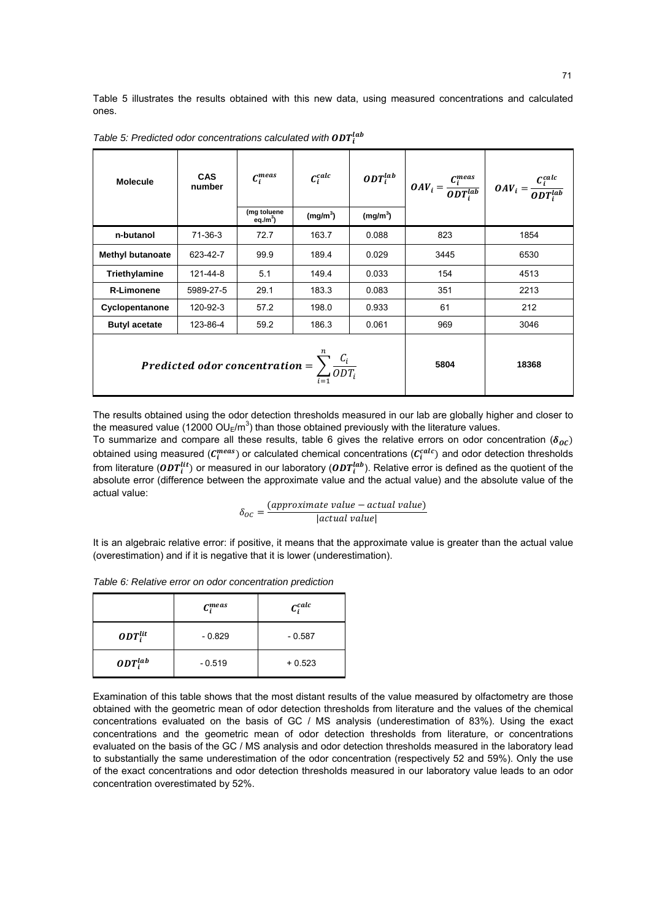Table 5 illustrates the results obtained with this new data, using measured concentrations and calculated ones.

| <b>Molecule</b>                                                           | <b>CAS</b><br>number | $C_i^{meas}$<br>(mg toluene<br>$eq./m^3$ | $C_i^{calc}$<br>(mg/m <sup>3</sup> ) | (mg/m <sup>3</sup> ) |       | $ODT_i^{lab}$ $ODT_i^{lab}$ $ODT_i^{lab}$ $ODT_i^{lab}$ $ODT_i^{lab}$ $ODT_i^{lab}$ |
|---------------------------------------------------------------------------|----------------------|------------------------------------------|--------------------------------------|----------------------|-------|-------------------------------------------------------------------------------------|
| n-butanol                                                                 | $71-36-3$            | 72.7                                     | 163.7                                | 0.088                | 823   | 1854                                                                                |
| <b>Methyl butanoate</b>                                                   | 623-42-7             | 99.9                                     | 189.4                                | 0.029                | 3445  | 6530                                                                                |
| Triethylamine                                                             | 121-44-8             | 5.1                                      | 149.4                                | 0.033                | 154   | 4513                                                                                |
| <b>R-Limonene</b>                                                         | 5989-27-5            | 29.1                                     | 183.3                                | 0.083                | 351   | 2213                                                                                |
| Cyclopentanone                                                            | 120-92-3             | 57.2                                     | 198.0                                | 0.933                | 61    | 212                                                                                 |
| <b>Butyl acetate</b>                                                      | 123-86-4             | 59.2                                     | 186.3                                | 0.061                | 969   | 3046                                                                                |
| <b>Predicted odor concentration = </b> $\sum_{i=1}^{n} \frac{C_i}{ODT_i}$ |                      |                                          |                                      | 5804                 | 18368 |                                                                                     |

Table 5: Predicted odor concentrations calculated with  $\mathit{ODT}_i^{lab}$ 

The results obtained using the odor detection thresholds measured in our lab are globally higher and closer to the measured value (12000 OU<sub>E</sub>/m<sup>3</sup>) than those obtained previously with the literature values.

To summarize and compare all these results, table 6 gives the relative errors on odor concentration ( $\delta_{0}$ ) obtained using measured ( $\mathcal{C}^{meas}_i$ ) or calculated chemical concentrations ( $\mathcal{C}^{calc}_i$ ) and odor detection thresholds from literature ( $\pmb{0}\pmb{D}\pmb{T}_i^{lit}$ ) or measured in our laboratory ( $\pmb{0}\pmb{D}\pmb{T}_i^{lab}$ ). Relative error is defined as the quotient of the absolute error (difference between the approximate value and the actual value) and the absolute value of the actual value:

$$
\delta_{OC} = \frac{(approximate value - actual value)}{|actual value|}
$$

It is an algebraic relative error: if positive, it means that the approximate value is greater than the actual value (overestimation) and if it is negative that it is lower (underestimation).

|               | $C_i^{meas}$ | $C_i^{calc}$ |
|---------------|--------------|--------------|
| $ODT_i^{lit}$ | $-0.829$     | $-0.587$     |
| $ODT_i^{lab}$ | $-0.519$     | $+0.523$     |

*Table 6: Relative error on odor concentration prediction* 

Examination of this table shows that the most distant results of the value measured by olfactometry are those obtained with the geometric mean of odor detection thresholds from literature and the values of the chemical concentrations evaluated on the basis of GC / MS analysis (underestimation of 83%). Using the exact concentrations and the geometric mean of odor detection thresholds from literature, or concentrations evaluated on the basis of the GC / MS analysis and odor detection thresholds measured in the laboratory lead to substantially the same underestimation of the odor concentration (respectively 52 and 59%). Only the use of the exact concentrations and odor detection thresholds measured in our laboratory value leads to an odor concentration overestimated by 52%.